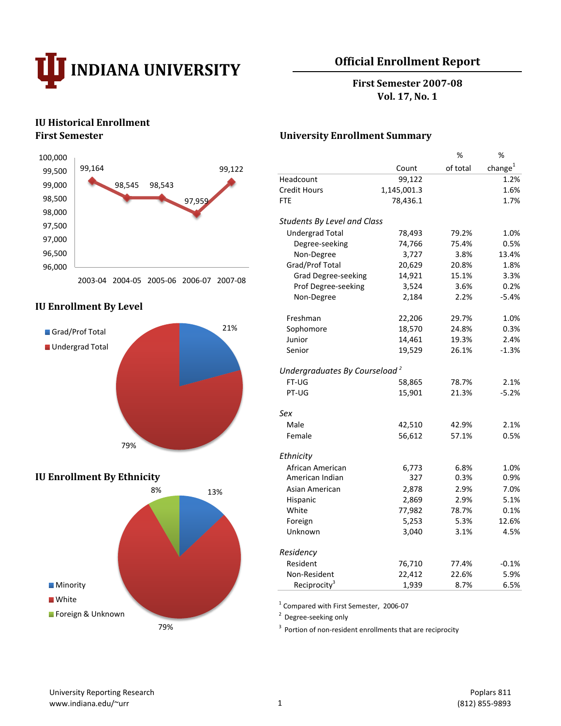

# **Official Enrollment Report**

**First Semester 2007-08 Vol. 17, No. 1**

# **IU Historical Enrollment**



## **IU Enrollment By Level**



# **IU Enrollment By Ethnicity**



## **First Semester University Enrollment Summary**

|                                           |             | %        | %           |
|-------------------------------------------|-------------|----------|-------------|
|                                           | Count       | of total | change $^1$ |
| Headcount                                 | 99,122      |          | 1.2%        |
| <b>Credit Hours</b>                       | 1,145,001.3 |          | 1.6%        |
| FTE                                       | 78,436.1    |          | 1.7%        |
| <b>Students By Level and Class</b>        |             |          |             |
| <b>Undergrad Total</b>                    | 78,493      | 79.2%    | 1.0%        |
| Degree-seeking                            | 74,766      | 75.4%    | 0.5%        |
| Non-Degree                                | 3,727       | 3.8%     | 13.4%       |
| Grad/Prof Total                           | 20,629      | 20.8%    | 1.8%        |
| <b>Grad Degree-seeking</b>                | 14,921      | 15.1%    | 3.3%        |
| Prof Degree-seeking                       | 3,524       | 3.6%     | 0.2%        |
| Non-Degree                                | 2,184       | 2.2%     | $-5.4%$     |
| Freshman                                  | 22,206      | 29.7%    | 1.0%        |
| Sophomore                                 | 18,570      | 24.8%    | 0.3%        |
| Junior                                    | 14,461      | 19.3%    | 2.4%        |
| Senior                                    | 19,529      | 26.1%    | $-1.3%$     |
| Undergraduates By Courseload <sup>2</sup> |             |          |             |
| FT-UG                                     | 58,865      | 78.7%    | 2.1%        |
| PT-UG                                     | 15,901      | 21.3%    | $-5.2%$     |
| Sex                                       |             |          |             |
| Male                                      | 42,510      | 42.9%    | 2.1%        |
| Female                                    | 56,612      | 57.1%    | 0.5%        |
| Ethnicity                                 |             |          |             |
| African American                          | 6,773       | 6.8%     | 1.0%        |
| American Indian                           | 327         | 0.3%     | 0.9%        |
| Asian American                            | 2,878       | 2.9%     | 7.0%        |
| Hispanic                                  | 2,869       | 2.9%     | 5.1%        |
| White                                     | 77,982      | 78.7%    | 0.1%        |
| Foreign                                   | 5,253       | 5.3%     | 12.6%       |
| Unknown                                   | 3,040       | 3.1%     | 4.5%        |
| Residency                                 |             |          |             |
| Resident                                  | 76,710      | 77.4%    | $-0.1%$     |
| Non-Resident                              | 22,412      | 22.6%    | 5.9%        |
| Reciprocity <sup>3</sup>                  | 1,939       | 8.7%     | 6.5%        |

1 Compared with First Semester, 2006-07

<sup>2</sup> Degree-seeking only

<sup>3</sup> Portion of non-resident enrollments that are reciprocity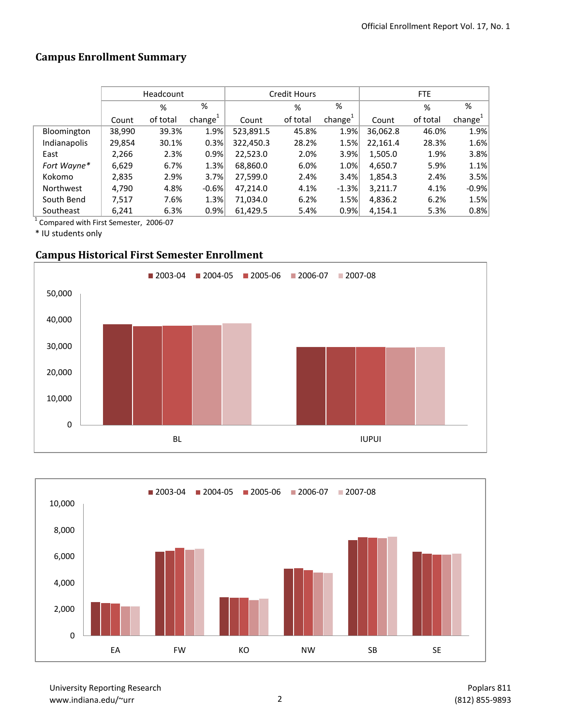# **Campus Enrollment Summary**

|                  | Headcount |          |                     |           | Credit Hours |                     | <b>FTE</b> |          |           |  |
|------------------|-----------|----------|---------------------|-----------|--------------|---------------------|------------|----------|-----------|--|
|                  | %<br>%    |          |                     | %         | %            |                     | %          | %        |           |  |
|                  | Count     | of total | change <sup>+</sup> | Count     | of total     | change <sup>+</sup> | Count      | of total | $change+$ |  |
| Bloomington      | 38,990    | 39.3%    | 1.9%                | 523,891.5 | 45.8%        | 1.9%                | 36,062.8   | 46.0%    | 1.9%      |  |
| Indianapolis     | 29,854    | 30.1%    | 0.3%                | 322,450.3 | 28.2%        | 1.5%                | 22,161.4   | 28.3%    | 1.6%      |  |
| East             | 2,266     | 2.3%     | 0.9%                | 22,523.0  | 2.0%         | 3.9%                | 1,505.0    | 1.9%     | 3.8%      |  |
| Fort Wayne*      | 6,629     | 6.7%     | 1.3%                | 68,860.0  | 6.0%         | 1.0%                | 4,650.7    | 5.9%     | 1.1%      |  |
| Kokomo           | 2,835     | 2.9%     | 3.7%                | 27,599.0  | 2.4%         | 3.4%                | 1,854.3    | 2.4%     | 3.5%      |  |
| <b>Northwest</b> | 4.790     | 4.8%     | $-0.6%$             | 47,214.0  | 4.1%         | $-1.3%$             | 3,211.7    | 4.1%     | $-0.9%$   |  |
| South Bend       | 7,517     | 7.6%     | 1.3%                | 71,034.0  | 6.2%         | 1.5%                | 4,836.2    | 6.2%     | 1.5%      |  |
| Southeast        | 6,241     | 6.3%     | 0.9%                | 61,429.5  | 5.4%         | 0.9%                | 4,154.1    | 5.3%     | 0.8%      |  |

1 Compared with First Semester, 2006-07

\* IU students only

# **Campus Historical First Semester Enrollment**





University Reporting Research www.indiana.edu/~urr 2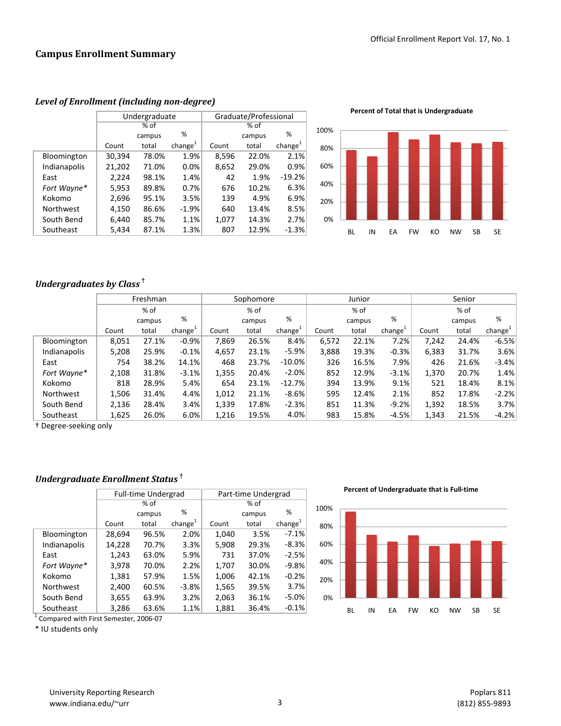|                  |        | Undergraduate |                     | Graduate/Professional |        |                     |  |
|------------------|--------|---------------|---------------------|-----------------------|--------|---------------------|--|
|                  |        | $%$ of        |                     |                       |        |                     |  |
|                  |        | campus        | %                   |                       | campus | %                   |  |
|                  | Count  | total         | change <sup>1</sup> | Count                 | total  | change <sup>1</sup> |  |
| Bloomington      | 30,394 | 78.0%         | 1.9%                | 8,596                 | 22.0%  | 2.1%                |  |
| Indianapolis     | 21,202 | 71.0%         | 0.0%                | 8,652                 | 29.0%  | 0.9%                |  |
| East             | 2,224  | 98.1%         | 1.4%                | 42                    | 1.9%   | $-19.2%$            |  |
| Fort Wayne*      | 5,953  | 89.8%         | 0.7%                | 676                   | 10.2%  | 6.3%                |  |
| Kokomo           | 2,696  | 95.1%         | 3.5%                | 139                   | 4.9%   | 6.9%                |  |
| <b>Northwest</b> | 4,150  | 86.6%         | $-1.9%$             | 640                   | 13.4%  | 8.5%                |  |
| South Bend       | 6,440  | 85.7%         | 1.1%                | 1,077                 | 14.3%  | 2.7%                |  |
| Southeast        | 5,434  | 87.1%         | 1.3%                | 807                   | 12.9%  | $-1.3%$             |  |

#### *Level of Enrollment (including non-degree)*

**Percent of Total that is Undergraduate**



## *Undergraduates by Class* **†**

|              | Freshman |        |                     |       | Sophomore |                     | Junior |        |                     | Senior |        |                     |
|--------------|----------|--------|---------------------|-------|-----------|---------------------|--------|--------|---------------------|--------|--------|---------------------|
|              |          | % of   |                     |       | % of      |                     |        | % of   |                     | % of   |        |                     |
|              |          | campus | %                   |       | campus    | %                   |        | campus | %                   |        | campus | %                   |
|              | Count    | total  | change <sup>+</sup> | Count | total     | change <sup>+</sup> | Count  | total  | change <sup>+</sup> | Count  | total  | change <sup>+</sup> |
| Bloomington  | 8,051    | 27.1%  | $-0.9%$             | 7,869 | 26.5%     | 8.4%                | 6,572  | 22.1%  | 7.2%                | 7.242  | 24.4%  | $-6.5%$             |
| Indianapolis | 5,208    | 25.9%  | $-0.1%$             | 4,657 | 23.1%     | $-5.9%$             | 3,888  | 19.3%  | $-0.3%$             | 6,383  | 31.7%  | 3.6%                |
| East         | 754      | 38.2%  | 14.1%               | 468   | 23.7%     | $-10.0\%$           | 326    | 16.5%  | 7.9%                | 426    | 21.6%  | $-3.4%$             |
| Fort Wayne*  | 2,108    | 31.8%  | $-3.1%$             | 1,355 | 20.4%     | $-2.0%$             | 852    | 12.9%  | $-3.1%$             | 1,370  | 20.7%  | 1.4%                |
| Kokomo       | 818      | 28.9%  | 5.4%                | 654   | 23.1%     | $-12.7%$            | 394    | 13.9%  | 9.1%                | 521    | 18.4%  | 8.1%                |
| Northwest    | 1,506    | 31.4%  | 4.4%                | 1,012 | 21.1%     | $-8.6%$             | 595    | 12.4%  | 2.1%                | 852    | 17.8%  | $-2.2%$             |
| South Bend   | 2,136    | 28.4%  | 3.4%                | 1,339 | 17.8%     | $-2.3%$             | 851    | 11.3%  | $-9.2%$             | 1,392  | 18.5%  | 3.7%                |
| Southeast    | 1,625    | 26.0%  | 6.0%                | 1,216 | 19.5%     | 4.0%                | 983    | 15.8%  | $-4.5%$             | 1,343  | 21.5%  | $-4.2%$             |

† Degree-seeking only

## *Undergraduate Enrollment Status* **†**

|              |        | <b>Full-time Undergrad</b> |               | Part-time Undergrad |        |                     |  |
|--------------|--------|----------------------------|---------------|---------------------|--------|---------------------|--|
|              |        | % of                       |               | $%$ of              |        |                     |  |
|              |        | campus                     | %             |                     | campus | %                   |  |
|              | Count  | total                      | change $^{1}$ | Count               | total  | change <sup>1</sup> |  |
| Bloomington  | 28,694 | 96.5%                      | 2.0%          | 1,040               | 3.5%   | $-7.1%$             |  |
| Indianapolis | 14,228 | 70.7%                      | 3.3%          | 5,908               | 29.3%  | $-8.3%$             |  |
| East         | 1,243  | 63.0%                      | 5.9%          | 731                 | 37.0%  | $-2.5%$             |  |
| Fort Wayne*  | 3,978  | 70.0%                      | 2.2%          | 1,707               | 30.0%  | $-9.8%$             |  |
| Kokomo       | 1,381  | 57.9%                      | 1.5%          | 1,006               | 42.1%  | $-0.2%$             |  |
| Northwest    | 2,400  | 60.5%                      | $-3.8%$       | 1,565               | 39.5%  | 3.7%                |  |
| South Bend   | 3,655  | 63.9%                      | 3.2%          | 2,063               | 36.1%  | $-5.0%$             |  |
| Southeast    | 3,286  | 63.6%                      | 1.1%          | 1,881               | 36.4%  | $-0.1%$             |  |
|              |        |                            |               |                     |        |                     |  |

1 Compared with First Semester, 2006-07

\* IU students only

**Percent of Undergraduate that is Full-time**